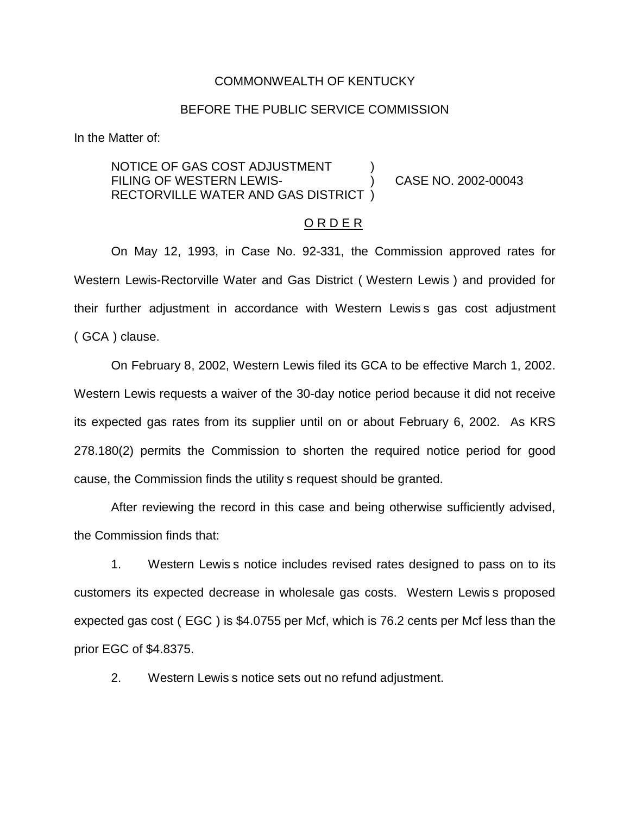#### COMMONWEALTH OF KENTUCKY

### BEFORE THE PUBLIC SERVICE COMMISSION

In the Matter of:

NOTICE OF GAS COST ADJUSTMENT FILING OF WESTERN LEWIS-<br>
(2002-00043) RECTORVILLE WATER AND GAS DISTRICT )

### O R D E R

On May 12, 1993, in Case No. 92-331, the Commission approved rates for Western Lewis-Rectorville Water and Gas District ( Western Lewis ) and provided for their further adjustment in accordance with Western Lewis s gas cost adjustment ( GCA ) clause.

On February 8, 2002, Western Lewis filed its GCA to be effective March 1, 2002. Western Lewis requests a waiver of the 30-day notice period because it did not receive its expected gas rates from its supplier until on or about February 6, 2002. As KRS 278.180(2) permits the Commission to shorten the required notice period for good cause, the Commission finds the utility s request should be granted.

After reviewing the record in this case and being otherwise sufficiently advised, the Commission finds that:

1. Western Lewis s notice includes revised rates designed to pass on to its customers its expected decrease in wholesale gas costs. Western Lewis s proposed expected gas cost ( EGC ) is \$4.0755 per Mcf, which is 76.2 cents per Mcf less than the prior EGC of \$4.8375.

2. Western Lewis s notice sets out no refund adjustment.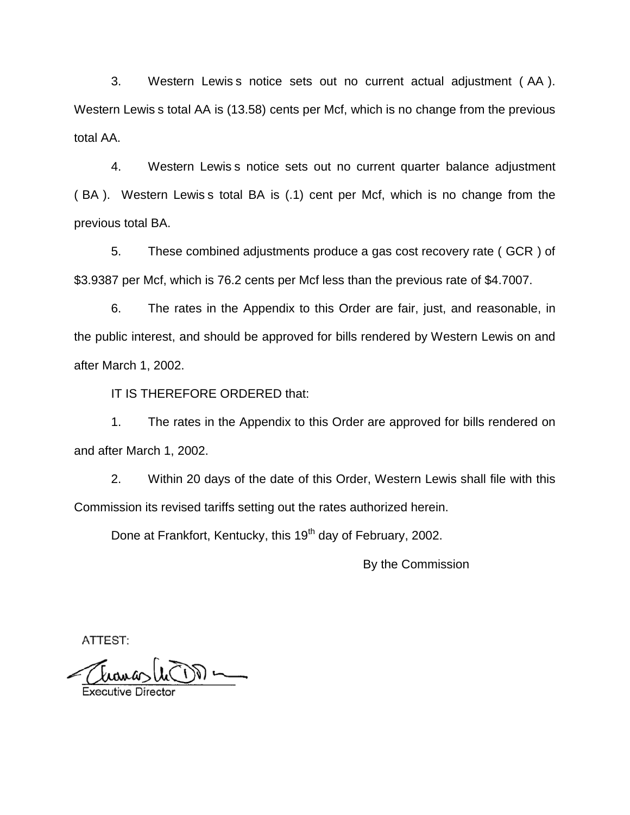3. Western Lewis s notice sets out no current actual adjustment ( AA ). Western Lewis s total AA is (13.58) cents per Mcf, which is no change from the previous total AA.

4. Western Lewis s notice sets out no current quarter balance adjustment ( BA ). Western Lewis s total BA is (.1) cent per Mcf, which is no change from the previous total BA.

5. These combined adjustments produce a gas cost recovery rate ( GCR ) of \$3.9387 per Mcf, which is 76.2 cents per Mcf less than the previous rate of \$4.7007.

6. The rates in the Appendix to this Order are fair, just, and reasonable, in the public interest, and should be approved for bills rendered by Western Lewis on and after March 1, 2002.

IT IS THEREFORE ORDERED that:

1. The rates in the Appendix to this Order are approved for bills rendered on and after March 1, 2002.

2. Within 20 days of the date of this Order, Western Lewis shall file with this Commission its revised tariffs setting out the rates authorized herein.

Done at Frankfort, Kentucky, this 19<sup>th</sup> day of February, 2002.

By the Commission

ATTEST: